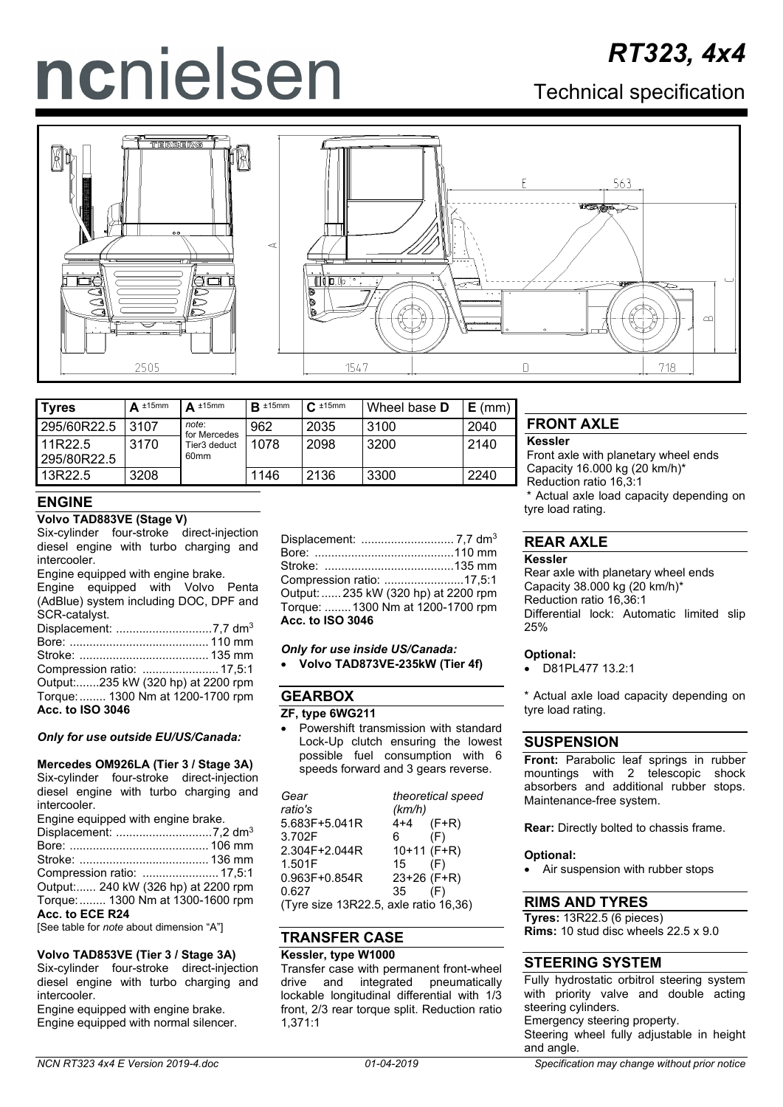# ncnielsen

## *RT323, 4x4*

### Technical specification





| <b>Tyres</b>           | $\Delta$ ±15mm | $\Delta$ ±15mm        | $\mathsf{R}$ ±15mm | $C_{\frac{1}{2}}$ ±15mm | Wheel base <b>D</b> | $E$ (mm) |
|------------------------|----------------|-----------------------|--------------------|-------------------------|---------------------|----------|
| 295/60R22.5            | 3107           | note:<br>for Mercedes | 962                | 2035                    | 3100                | 2040     |
| 11R22.5<br>295/80R22.5 | 3170           | Tier3 deduct<br>60mm  | 1078               | 2098                    | 3200                | 2140     |
| 13R22.5                | 3208           |                       | 1146               | 2136                    | 3300                | 2240     |

#### **ENGINE**

#### **Volvo TAD883VE (Stage V)**

Six-cylinder four-stroke direct-injection diesel engine with turbo charging and intercooler.

Engine equipped with engine brake. Engine equipped with Volvo Penta (AdBlue) system including DOC, DPF and SCR-catalyst. Displacement: .............................7,7 dm3 Bore: .......................................... 110 mm Stroke: ....................................... 135 mm Compression ratio: ....................... 17,5:1 Output:.......235 kW (320 hp) at 2200 rpm

Torque:........ 1300 Nm at 1200-1700 rpm **Acc. to ISO 3046**

*Only for use outside EU/US/Canada:*

#### **Mercedes OM926LA (Tier 3 / Stage 3A)**

Six-cylinder four-stroke direct-injection diesel engine with turbo charging and intercooler.

| Engine equipped with engine brake. |  |
|------------------------------------|--|
|                                    |  |
|                                    |  |
|                                    |  |

Compression ratio: ....................... 17,5:1 Output:...... 240 kW (326 hp) at 2200 rpm Torque:........ 1300 Nm at 1300-1600 rpm

**Acc. to ECE R24**

[See table for *note* about dimension "A"]

**Volvo TAD853VE (Tier 3 / Stage 3A)**

Six-cylinder four-stroke direct-injection diesel engine with turbo charging and intercooler.

Engine equipped with engine brake. Engine equipped with normal silencer. Displacement: ............................ 7,7 dm3 Bore: ..........................................110 mm Stroke: .......................................135 mm Compression ratio: ........................17,5:1 Output:...... 235 kW (320 hp) at 2200 rpm Torque: ........1300 Nm at 1200-1700 rpm **Acc. to ISO 3046**

*Only for use inside US/Canada:* • **Volvo TAD873VE-235kW (Tier 4f)**

#### **GEARBOX ZF, type 6WG211**

• Powershift transmission with standard Lock-Up clutch ensuring the lowest possible fuel consumption with 6 speeds forward and 3 gears reverse.

| Gear                                  |               | theoretical speed |  |
|---------------------------------------|---------------|-------------------|--|
| ratio's                               | (km/h)        |                   |  |
| 5.683F+5.041R                         | 4+4           | $(F+R)$           |  |
| 3.702F                                | 6.            | (F)               |  |
| 2.304F+2.044R                         | $10+11$ (F+R) |                   |  |
| 1.501F                                | 15            | (F)               |  |
| $0.963F + 0.854R$                     | 23+26 (F+R)   |                   |  |
| 0.627                                 | 35            | (F)               |  |
| (Tyre size 13R22.5, axle ratio 16.36) |               |                   |  |

(Tyre size 13R22.5, axle ratio 16,36)

#### **TRANSFER CASE**

#### **Kessler, type W1000**

Transfer case with permanent front-wheel drive and integrated pneumatically lockable longitudinal differential with 1/3 front, 2/3 rear torque split. Reduction ratio 1,371:1

#### **FRONT AXLE**

#### **Kessler**

Front axle with planetary wheel ends Capacity 16.000 kg (20 km/h)\* Reduction ratio 16,3:1 \* Actual axle load capacity depending on tyre load rating.

#### **REAR AXLE**

#### **Kessler**

Rear axle with planetary wheel ends Capacity 38.000 kg (20 km/h)\* Reduction ratio 16,36:1 Differential lock: Automatic limited slip 25%

#### **Optional:**

• D81PL477 13.2:1

\* Actual axle load capacity depending on tyre load rating.

#### **SUSPENSION**

**Front:** Parabolic leaf springs in rubber mountings with 2 telescopic shock absorbers and additional rubber stops. Maintenance-free system.

**Rear:** Directly bolted to chassis frame.

#### **Optional:**

• Air suspension with rubber stops

#### **RIMS AND TYRES**

**Tyres:** 13R22.5 (6 pieces) **Rims:** 10 stud disc wheels 22.5 x 9.0

#### **STEERING SYSTEM**

Fully hydrostatic orbitrol steering system with priority valve and double acting steering cylinders. Emergency steering property. Steering wheel fully adjustable in height and angle.